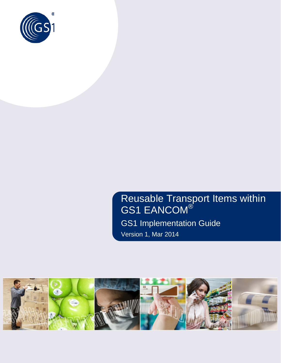

# Reusable Transport Items within GS1 EANCOM<sup>®</sup> GS1 Implementation Guide Version 1, Mar 2014

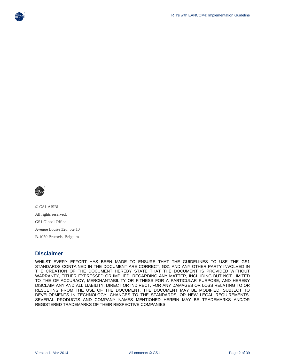



© GS1 AISBL All rights reserved. GS1 Global Office Avenue Louise 326, bte 10 B-1050 Brussels, Belgium

## **Disclaimer**

WHILST EVERY EFFORT HAS BEEN MADE TO ENSURE THAT THE GUIDELINES TO USE THE GS1 STANDARDS CONTAINED IN THE DOCUMENT ARE CORRECT, GS1 AND ANY OTHER PARTY INVOLVED IN THE CREATION OF THE DOCUMENT HEREBY STATE THAT THE DOCUMENT IS PROVIDED WITHOUT WARRANTY, EITHER EXPRESSED OR IMPLIED, REGARDING ANY MATTER, INCLUDING BUT NOT LIMITED TO THE OF ACCURACY, MERCHANTABILITY OR FITNESS FOR A PARTICULAR PURPOSE, AND HEREBY DISCLAIM ANY AND ALL LIABILITY, DIRECT OR INDIRECT, FOR ANY DAMAGES OR LOSS RELATING TO OR RESULTING FROM THE USE OF THE DOCUMENT. THE DOCUMENT MAY BE MODIFIED, SUBJECT TO DEVELOPMENTS IN TECHNOLOGY, CHANGES TO THE STANDARDS, OR NEW LEGAL REQUIREMENTS. SEVERAL PRODUCTS AND COMPANY NAMES MENTIONED HEREIN MAY BE TRADEMARKS AND/OR REGISTERED TRADEMARKS OF THEIR RESPECTIVE COMPANIES.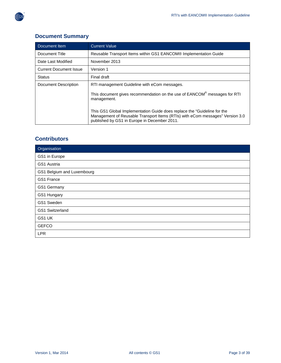

# **Document Summary**

| Document Item                 | <b>Current Value</b>                                                                                                                                                                                      |
|-------------------------------|-----------------------------------------------------------------------------------------------------------------------------------------------------------------------------------------------------------|
| Document Title                | Reusable Transport Items within GS1 EANCOM® Implementation Guide                                                                                                                                          |
| Date Last Modified            | November 2013                                                                                                                                                                                             |
| <b>Current Document Issue</b> | Version 1                                                                                                                                                                                                 |
| <b>Status</b>                 | Final draft                                                                                                                                                                                               |
| Document Description          | RTI management Guideline with eCom messages.                                                                                                                                                              |
|                               | This document gives recommendation on the use of EANCOM <sup>®</sup> messages for RTI<br>management.                                                                                                      |
|                               | This GS1 Global Implementation Guide does replace the "Guideline for the<br>Management of Reusable Transport Items (RTIs) with eCom messages" Version 3.0<br>published by GS1 in Europe in December 2011. |

## **Contributors**

| Organisation               |
|----------------------------|
| GS1 in Europe              |
| GS1 Austria                |
| GS1 Belgium and Luxembourg |
| GS1 France                 |
| GS1 Germany                |
| GS1 Hungary                |
| GS1 Sweden                 |
| GS1 Switzerland            |
| GS1 UK                     |
| <b>GEFCO</b>               |
| <b>LPR</b>                 |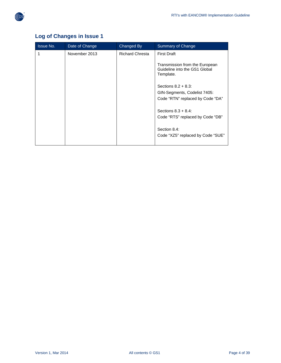

| <b>Issue No.</b> | Date of Change | Changed By             | Summary of Change                                                            |
|------------------|----------------|------------------------|------------------------------------------------------------------------------|
|                  | November 2013  | <b>Richard Chresta</b> | <b>First Draft</b>                                                           |
|                  |                |                        | Transmission from the European<br>Guideline into the GS1 Global<br>Template. |
|                  |                |                        | Sections $8.2 + 8.3$ :                                                       |
|                  |                |                        | GIN-Segments, Codelist 7405:                                                 |
|                  |                |                        | Code "RTN" replaced by Code "DA"                                             |
|                  |                |                        | Sections $8.3 + 8.4$ :                                                       |
|                  |                |                        | Code "RTS" replaced by Code "DB"                                             |
|                  |                |                        | Section 8.4:                                                                 |
|                  |                |                        | Code "XZ5" replaced by Code "SUE"                                            |

# **Log of Changes in Issue 1**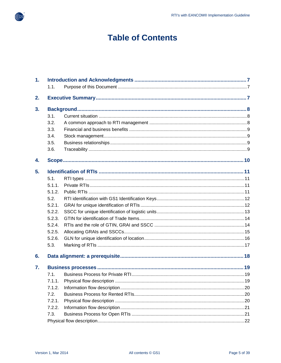

| 1. |        |  |
|----|--------|--|
|    | 1.1.   |  |
| 2. |        |  |
| 3. |        |  |
|    | 3.1.   |  |
|    | 3.2.   |  |
|    | 3.3.   |  |
|    | 3.4.   |  |
|    | 3.5.   |  |
|    | 3.6.   |  |
| 4. |        |  |
| 5. |        |  |
|    | 5.1.   |  |
|    | 5.1.1. |  |
|    | 5.1.2. |  |
|    | 5.2.   |  |
|    | 5.2.1. |  |
|    | 5.2.2. |  |
|    | 5.2.3. |  |
|    | 5.2.4. |  |
|    | 5.2.5. |  |
|    | 5.2.6. |  |
|    | 5.3.   |  |
| 6. |        |  |
| 7. |        |  |
|    | 7.1.   |  |
|    |        |  |
|    | 7.1.2. |  |
|    | 7.2.   |  |
|    | 7.2.1. |  |
|    | 7.2.2. |  |
|    | 7.3.   |  |
|    |        |  |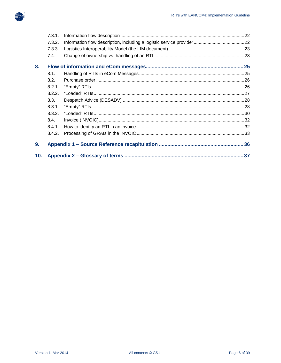

|     | 7.3.1. |  |
|-----|--------|--|
|     | 7.3.2. |  |
|     | 7.3.3. |  |
|     | 7.4.   |  |
| 8.  |        |  |
|     | 8.1.   |  |
|     | 8.2.   |  |
|     | 8.2.1. |  |
|     | 8.2.2. |  |
|     | 8.3.   |  |
|     | 8.3.1. |  |
|     | 8.3.2. |  |
|     | 8.4.   |  |
|     | 8.4.1. |  |
|     | 8.4.2. |  |
| 9.  |        |  |
| 10. |        |  |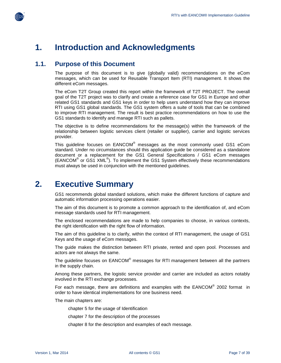



# <span id="page-6-0"></span>**1. Introduction and Acknowledgments**

## <span id="page-6-1"></span>**1.1. Purpose of this Document**

The purpose of this document is to give (globally valid) recommendations on the eCom messages, which can be used for Reusable Transport Item (RTI) management. It shows the different eCom messages.

The eCom T2T Group created this report within the framework of T2T PROJECT. The overall goal of the T2T project was to clarify and create a reference case for GS1 in Europe and other related GS1 standards and GS1 keys in order to help users understand how they can improve RTI using GS1 global standards. The GS1 system offers a suite of tools that can be combined to improve RTI management. The result is best practice recommendations on how to use the GS1 standards to identify and manage RTI such as pallets.

The objective is to define recommendations for the message(s) within the framework of the relationship between logistic services client (retailer or supplier), carrier and logistic services provider.

This guideline focuses on EANCOM<sup>®</sup> messages as the most commonly used GS1 eCom standard. Under no circumstances should this application guide be considered as a standalone document or a replacement for the GS1 General Specifications / GS1 eCom messages (EANCOM<sup>®</sup> or GS1 XML<sup>®</sup>). To implement the GS1 System effectively these recommendations must always be used in conjunction with the mentioned guidelines.

# <span id="page-6-2"></span>**2. Executive Summary**

GS1 recommends global standard solutions, which make the different functions of capture and automatic information processing operations easier.

The aim of this document is to promote a common approach to the identification of, and eCom message standards used for RTI management.

The enclosed recommendations are made to help companies to choose, in various contexts, the right identification with the right flow of information.

The aim of this guideline is to clarify, within the context of RTI management, the usage of GS1 Keys and the usage of eCom messages.

The guide makes the distinction between RTI private, rented and open pool. Processes and actors are not always the same.

The guideline focuses on EANCOM<sup>®</sup> messages for RTI management between all the partners in the supply chain.

Among these partners, the logistic service provider and carrier are included as actors notably involved in the RTI exchange processes.

For each message, there are definitions and examples with the EANCOM® 2002 format in order to have identical implementations for one business need.

The main chapters are:

chapter 5 for the usage of Identification

chapter 7 for the description of the processes

chapter 8 for the description and examples of each message.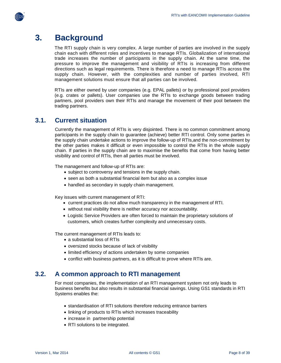

# <span id="page-7-0"></span>**3. Background**

The RTI supply chain is very complex. A large number of parties are involved in the supply chain each with different roles and incentives to manage RTIs. Globalization of international trade increases the number of participants in the supply chain. At the same time, the pressure to improve the management and visibility of RTIs is increasing from different directions such as legal requirements. There is therefore a need to manage RTIs across the supply chain. However, with the complexities and number of parties involved, RTI management solutions must ensure that all parties can be involved.

RTIs are either owned by user companies (e.g. EPAL pallets) or by professional pool providers (e.g. crates or pallets). User companies use the RTIs to exchange goods between trading partners, pool providers own their RTIs and manage the movement of their pool between the trading partners.

## <span id="page-7-1"></span>**3.1. Current situation**

Currently the management of RTIs is very disjointed. There is no common commitment among participants in the supply chain to guarantee (achieve) better RTI control. Only some parties in the supply chain undertake actions to improve the follow-up of RTIs,and the non-commitment by the other parties makes it difficult or even impossible to control the RTIs in the whole supply chain. If parties in the supply chain are to maximise the benefits that come from having better visibility and control of RTIs, then all parties must be involved.

The management and follow-up of RTIs are:

- subject to controversy and tensions in the supply chain.
- seen as both a substantial financial item but also as a complex issue
- handled as secondary in supply chain management.

Key issues with current management of RTI:

- current practices do not allow much transparency in the management of RTI.
- without real visibility there is neither accuracy nor accountability.
- Logistic Service Providers are often forced to maintain the proprietary solutions of customers, which creates further complexity and unnecessary costs.

The current management of RTIs leads to:

- a substantial loss of RTIs
- oversized stocks because of lack of visibility
- limited efficiency of actions undertaken by some companies
- conflict with business partners, as it is difficult to prove where RTIs are.

## <span id="page-7-2"></span>**3.2. A common approach to RTI management**

For most companies, the implementation of an RTI management system not only leads to business benefits but also results in substantial financial savings. Using GS1 standards in RTI Systems enables the:

- standardisation of RTI solutions therefore reducing entrance barriers
- linking of products to RTIs which increases traceability
- increase in partnership potential
- RTI solutions to be integrated.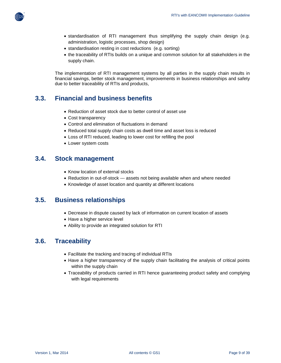

- standardisation of RTI management thus simplifying the supply chain design (e.g. administration, logistic processes, shop design)
- standardisation resting in cost reductions (e.g. sorting)
- the traceability of RTIs builds on a unique and common solution for all stakeholders in the supply chain.

The implementation of RTI management systems by all parties in the supply chain results in financial savings, better stock management, improvements in business relationships and safety due to better traceability of RTIs and products,

## <span id="page-8-0"></span>**3.3. Financial and business benefits**

- Reduction of asset stock due to better control of asset use
- Cost transparency
- Control and elimination of fluctuations in demand
- Reduced total supply chain costs as dwell time and asset loss is reduced
- Loss of RTI reduced, leading to lower cost for refilling the pool
- Lower system costs

## <span id="page-8-1"></span>**3.4. Stock management**

- Know location of external stocks
- Reduction in out-of-stock --- assets not being available when and where needed
- Knowledge of asset location and quantity at different locations

## <span id="page-8-2"></span>**3.5. Business relationships**

- Decrease in dispute caused by lack of information on current location of assets
- Have a higher service level
- Ability to provide an integrated solution for RTI

## <span id="page-8-3"></span>**3.6. Traceability**

- Facilitate the tracking and tracing of individual RTIs
- Have a higher transparency of the supply chain facilitating the analysis of critical points within the supply chain
- Traceability of products carried in RTI hence guaranteeing product safety and complying with legal requirements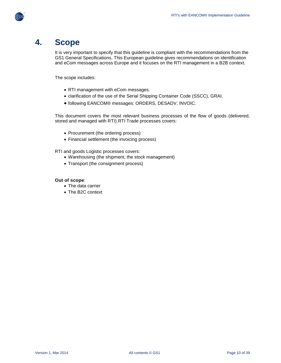# <span id="page-9-0"></span>**4. Scope**

It is very important to specify that this guideline is compliant with the recommendations from the GS1 General Specifications. This European guideline gives recommendations on identification and eCom messages across Europe and it focuses on the RTI management in a B2B context.

The scope includes:

- RTI management with eCom messages.
- clarification of the use of the Serial Shipping Container Code (SSCC), GRAI.
- following EANCOM® messages: ORDERS, DESADV, INVOIC.

This document covers the most relevant business processes of the flow of goods (delivered, stored and managed with RTI).RTI Trade processes covers:

- Procurement (the ordering process)
- Financial settlement (the invoicing process)

RTI and goods Logistic processes covers:

- Warehousing (the shipment, the stock management)
- Transport (the consignment process)

#### **Out of scope**:

- The data carrier
- The B2C context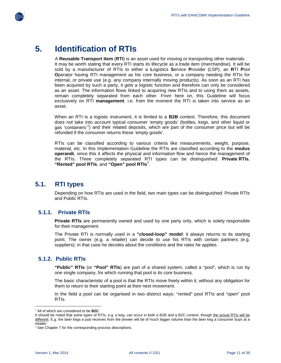

# <span id="page-10-0"></span>**5. Identification of RTIs**

A **Reusable Transport Item** (**RTI**) is an asset used for moving or transporting other materials. It may be worth stating that every RTI starts its lifecycle as a trade item (merchandise). It will be sold by a manufacturer of RTIs to either a **L**ogistics **S**ervice **P**rovider (LSP), an **R**TI **P**ool **O**perator having RTI management as his core business, or a company needing the RTIs for internal, or private use (e.g. any company internally moving products). As soon as an RTI has been acquired by such a party, it gets a logistic function and therefore can only be considered as an asset. The information flows linked to acquiring new RTIs and to using them as assets, remain completely separated from each other. From here on, this Guideline will focus exclusively on RTI **management**, i.e. from the moment the RTI is taken into service as an asset.

When an RTI is a logistic instrument, it is limited to a **B2B** context. Therefore, this document does not take into account typical consumer 'empty goods' (bottles, kegs, and other liquid or gas 'containers'<sup>[1](#page-11-2)</sup>) and their related deposits, which are part of the consumer price but will be refunded if the consumer returns these 'empty goods'.

RTIs can be classified according to various criteria like measurements, weight, purpose, material, etc. In this Implementation Guideline the RTIs are classified according to the **modus operandi**, since this it affects the physical and information flow and hence the management of the RTIs. Three completely separated RTI types can be distinguished: **Private RTIs**, **"Rented" pool RTIs**, and **"Open" pool RTIs**[2](#page-11-3) .

## <span id="page-10-1"></span>**5.1. RTI types**

Depending on how RTIs are used in the field, two main types can be distinguished: Private RTIs and Public RTIs.

### <span id="page-10-2"></span>**5.1.1. Private RTIs**

**Private RTIs** are permanently owned and used by one party only, which is solely responsible for their management.

The Private RTI is normally used in a **"closed-loop" model**: it always returns to its starting point. The owner (e.g. a retailer) can decide to use his RTIs with certain partners (e.g. suppliers): in that case he decides about the conditions and the rates he applies.

### <span id="page-10-3"></span>**5.1.2. Public RTIs**

**"Public" RTIs** (or **"Pool" RTIs**) are part of a shared system, called a "pool", which is run by one single company, for which running that pool is its core business.

The basic characteristic of a pool is that the RTIs move freely within it, without any obligation for them to return to their starting point at their next movement.

In the field a pool can be organised in two distinct ways: "rented" pool RTIs and "open" pool RTIs.

 <sup>1</sup> All of which are considered to be **B2C**.

It should be noted that some types of RTIs, e.g. a keg, can occur in both a B2B and a B2C context, though the actual RTIs will be different. E.g. the beer kegs a pub receives from the brewer will be of much bigger volume than the beer keg a consumer buys at a retailer.

 $2$  See Chapter 7 for the corresponding process descriptions.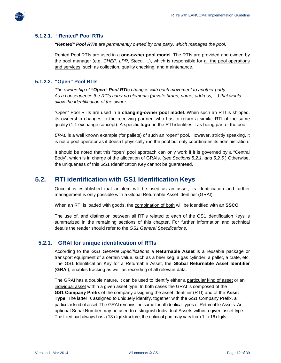

#### **5.1.2.1. "Rented" Pool RTIs**

*"Rented" Pool RTIs are permanently owned by one party, which manages the pool*.

Rented Pool RTIs are used in a **one-owner pool model**. The RTIs are provided and owned by the pool manager (e.g. *CHEP*, *LPR*, *Steco*, ...), which is responsible for all the pool operations and services, such as collection, quality checking, and maintenance.

#### **5.1.2.2. "Open" Pool RTIs**

*The ownership of "Open" Pool RTIs changes with each movement to another party. As a consequence the RTIs carry no elements (private brand, name, address, ...) that would allow the identification of the owner.*

"Open" Pool RTIs are used in a **changing-owner pool model**. When such an RTI is shipped, its ownership changes to the receiving partner, who has to return a similar RTI of the same quality (1:1 exchange concept). A specific **logo** on the RTI identifies it as being part of the pool.

*EPAL* is a well known example (for pallets) of such an "open" pool. However, strictly speaking, it is not a pool operator as it doesn't physically run the pool but only coordinates its administration.

It should be noted that this "open" pool approach can only work if it is governed by a "Central Body", which is in charge of the allocation of GRAIs. (*see Sections 5.2.1. and 5.2.5.*) Otherwise, the uniqueness of this GS1 Identification Key cannot be guaranteed.

## <span id="page-11-0"></span>**5.2. RTI identification with GS1 Identification Keys**

Once it is established that an item will be used as an asset, its identification and further management is only possible with a Global Returnable Asset Identifier **(**GRAI).

When an RTI is loaded with goods, the combination of both will be identified with an **SSCC**.

The use of, and distinction between all RTIs related to each of the GS1 Identification Keys is summarized in the remaining sections of this chapter. For further information and technical details the reader should refer to the *GS1 General Specifications*.

#### <span id="page-11-1"></span>**5.2.1. GRAI for unique identification of RTIs**

According to the *GS1 General Specifications* a **Returnable Asset** is a reusable package or transport equipment of a certain value, such as a beer keg, a gas cylinder, a pallet, a crate, etc. The GS1 Identification Key for a Returnable Asset, the **Global Returnable Asset Identifier** (**GRAI**), enables tracking as well as recording of all relevant data.

<span id="page-11-3"></span><span id="page-11-2"></span>The GRAI has a double nature. It can be used to identify either a particular kind of asset or an individual asset within a given asset type. In both cases the GRAI is composed of the **GS1 Company Prefix** of the company assigning the asset identifier (RTI) and of the **Asset Type**. The latter is assigned to uniquely identify, together with the GS1 Company Prefix, a particular kind of asset. The GRAI remains the same for all identical types of Returnable Assets. An optional Serial Number may be used to distinguish Individual Assets within a given asset type. The fixed part always has a 13-digit structure; the optional part may vary from 1 to 16 digits.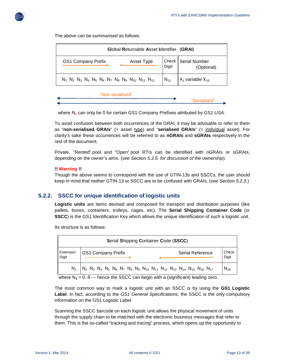

The above can be summarised as follows:

| Global Returnable Asset Identifier<br>(GRAI)                                     |          |                                     |
|----------------------------------------------------------------------------------|----------|-------------------------------------|
| <b>GS1 Company Prefix</b><br>Asset Type                                          | Digit    | Check   Serial Number<br>(Optional) |
| $N_1$ $N_2$ $N_3$ $N_4$ $N_5$ $N_6$ $N_7$ $N_8$ $N_9$ $N_{10}$ $N_{11}$ $N_{12}$ | $N_{13}$ | $X_1$ variable $X_{16}$             |



where N**<sup>1</sup>** can only be 0 for certain GS1 Company Prefixes attributed by *GS1 USA*.

To avoid confusion between both occurrences of the GRAI, it may be advisable to refer to them as "**non-serialised GRAIs**" (= asset type) and "**serialised GRAIs**" (= individual asset). For clarity's sake these occurrences will be referred to as **nGRAIs** and **sGRAIs** respectively in the rest of the document.

Private, "Rented" pool and "Open" pool RTIs can be identified with nGRAIs or sGRAIs, depending on the owner's aims. (*see Section 5.2.5. for discussion of the ownership*).

#### **!! Warning !!**

Though the above seems to correspond with the use of GTIN-13s and SSCCs, the user should keep in mind that neither GTIN-13 or SSCC are to be confused with GRAIs. (*see Section [5.2.3](#page-13-0)*.)

### <span id="page-12-0"></span>**5.2.2. SSCC for unique identification of logistic units**

**Logistic units** are items devised and composed for transport and distribution purposes (like pallets, boxes, containers, trolleys, cages, etc). The **Serial Shipping Container Code** (or **SSCC**) is the GS1 Identification Key which allows the unique identification of such a logistic unit.

Its structure is as follows:

| Serial Shipping Container Code (SSCC) |                                                                                                                                                                                                                                                |                |  |
|---------------------------------------|------------------------------------------------------------------------------------------------------------------------------------------------------------------------------------------------------------------------------------------------|----------------|--|
| Extension<br>Digit                    | <b>GS1 Company Prefix</b><br>Serial Reference                                                                                                                                                                                                  | Check<br>Digit |  |
| $N_{1}$                               | $N_2$ N <sub>3</sub> N <sub>4</sub> N <sub>5</sub> N <sub>6</sub> N <sub>7</sub> N <sub>8</sub> N <sub>9</sub> N <sub>10</sub> N <sub>11</sub> N <sub>12</sub> N <sub>13</sub> N <sub>14</sub> N <sub>15</sub> N <sub>16</sub> N <sub>17</sub> | $N_{18}$       |  |

where  $N_1 = 0.0$  --- hence the SSCC can begin with a (significant) leading zero.

The most common way to mark a logistic unit with an SSCC is by using the **GS1 Logistic Label**. In fact, according to the *GS1 General Specifications,* the SSCC is the only compulsory information on the GS1 Logistic Label.

Scanning the SSCC barcode on each logistic unit allows the physical movement of units through the supply chain to be matched with the electronic business messages that refer to them. This is the so-called "tracking and tracing" process, which opens up the opportunity to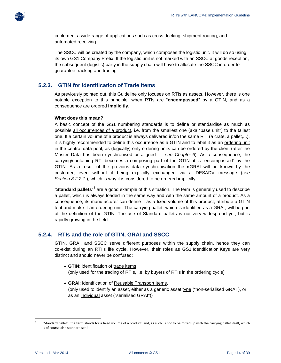

implement a wide range of applications such as cross docking, shipment routing, and automated receiving.

The SSCC will be created by the company, which composes the logistic unit. It will do so using its own GS1 Company Prefix. If the logistic unit is not marked with an SSCC at goods reception, the subsequent (logistic) party in the supply chain will have to allocate the SSCC in order to guarantee tracking and tracing.

### <span id="page-13-0"></span>**5.2.3. GTIN for identification of Trade Items**

As previously pointed out, this Guideline only focuses on RTIs as assets. However, there is one notable exception to this principle: when RTIs are "**encompassed**" by a GTIN, and as a consequence are ordered **implicitly**.

#### **What does this mean?**

A basic concept of the GS1 numbering standards is to define or standardise as much as possible all occurrences of a product, i.e. from the smallest one (aka "base unit") to the tallest one. If a certain volume of a product is always delivered in/on the same RTI (a crate, a pallet,...), it is highly recommended to define this occurrence as a GTIN and to label it as an ordering unit in the central data pool, as (logically) only ordering units can be ordered by the client (after the Master Data has been synchronised or aligned --- *see Chapter 6*). As a consequence, the carrying/containing RTI becomes a composing part of the GTIN: it is "encompassed" by the GTIN. As a result of the previous data synchronisation the **n**GRAI will be known by the customer, even without it being explicitly exchanged via a DESADV message (*see Section 8.2.2.1.*), which is why it is considered to be ordered implicitly.

"**Standard pallets**" [3](#page-14-1) are a good example of this situation. The term is generally used to describe a pallet, which is always loaded in the same way and with the same amount of a product. As a consequence, its manufacturer can define it as a fixed volume of this product, attribute a GTIN to it and make it an ordering unit. The carrying pallet, which is identified as a GRAI, will be part of the definition of the GTIN. The use of Standard pallets is not very widespread yet, but is rapidly growing in the field.

#### <span id="page-13-1"></span>**5.2.4. RTIs and the role of GTIN, GRAI and SSCC**

GTIN, GRAI, and SSCC serve different purposes within the supply chain, hence they can co-exist during an RTI's life cycle. However, their roles as GS1 Identification Keys are very distinct and should never be confused:

- **GTIN**: identification of trade items. (only used for the trading of RTIs, i.e. by buyers of RTIs in the ordering cycle)
- **GRAI**: identification of Reusable Transport Items. (only used to identify an asset, either as a generic asset type ("non-serialised GRAI"), or as an individual asset ("serialised GRAI"))

 $\overline{a}$ 

**<sup>3</sup>** "Standard pallet": the term stands for a fixed volume of a product, and, as such, is not to be mixed up with the carrying pallet itself, which is of course also standardised!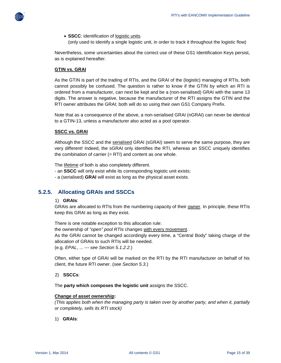

• **SSCC**: identification of logistic units.

(only used to identify a single logistic unit, in order to track it throughout the logistic flow)

Nevertheless, some uncertainties about the correct use of these GS1 Identification Keys persist, as is explained hereafter.

#### **GTIN vs. GRAI**

As the GTIN is part of the trading of RTIs, and the GRAI of the (logistic) managing of RTIs, both cannot possibly be confused. The question is rather to know if the GTIN by which an RTI is ordered from a manufacturer, can next be kept and be a (non-serialised) GRAI with the same 13 digits. The answer is negative, because the manufacturer of the RTI assigns the GTIN and the RTI owner attributes the GRAI; both will do so using their own GS1 Company Prefix.

Note that as a consequence of the above, a non-serialised GRAI (nGRAI) can never be identical to a GTIN-13, unless a manufacturer also acted as a pool operator.

#### **SSCC vs. GRAI**

Although the SSCC and the serialised GRAI (sGRAI) seem to serve the same purpose, they are very different! Indeed, the sGRAI only identifies the RTI, whereas an SSCC uniquely identifies the combination of carrier  $(= RTI)$  and content as one whole.

The lifetime of both is also completely different.

- an **SSCC** will only exist while its corresponding logistic unit exists;
- a (serialised) **GRAI** will exist as long as the physical asset exists.

### <span id="page-14-0"></span>**5.2.5. Allocating GRAIs and SSCCs**

#### 1) **GRAIs**:

GRAIs are allocated to RTIs from the numbering capacity of their owner. In principle, these RTIs keep this GRAI as long as they exist.

There is one notable exception to this allocation rule: the ownership of *"open" pool RTIs* changes with every movement. As the GRAI cannot be changed accordingly every time, a "Central Body" taking charge of the allocation of GRAIs to such RTIs will be needed. (e.g. *EPAL*, ... --- *see Section 5.1.2.2.*)

Often, either type of GRAI will be marked on the RTI by the RTI manufacturer on behalf of his client, the future RTI owner. (*see Section 5.3.*)

#### 2) **SSCCs**:

The **party which composes the logistic unit** assigns the SSCC.

#### **Change of asset ownership:**

*(This applies both when the managing party is taken over by another party, and when it, partially or completely, sells its RTI stock)*

<span id="page-14-1"></span>1) **GRAIs**: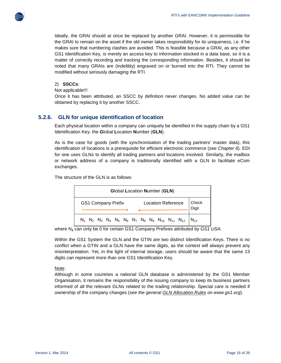

Ideally, the GRAI should at once be replaced by another GRAI. However, it is permissible for the GRAI to remain on the asset if the old owner takes responsibility for its uniqueness, i.e. if he makes sure that numbering clashes are avoided. This is feasible because a GRAI, as any other GS1 Identification Key, is merely an access key to information stocked in a data base, so it is a matter of correctly recording and tracking the corresponding information. Besides, it should be noted that many GRAIs are (indelibly) engraved on or burned into the RTI. They cannot be modified without seriously damaging the RTI.

#### 2) **SSCCs**:

Not applicable!!!

Once it has been attributed, an SSCC by definition never changes. No added value can be obtained by replacing it by another SSCC.

## <span id="page-15-0"></span>**5.2.6. GLN for unique identification of location**

Each physical location within a company can uniquely be identified in the supply chain by a GS1 Identification Key: the **G**lobal **L**ocation **N**umber (**GLN**).

As is the case for goods (with the synchronisation of the trading partners' master data), this identification of locations is a prerequisite for efficient electronic commerce (*see Chapter 6*). EDI for one uses GLNs to identify all trading partners and locations involved. Similarly, the mailbox or network address of a company is traditionally identified with a GLN to facilitate eCom exchanges.

The structure of the GLN is as follows:



where N**<sup>1</sup>** can only be 0 for certain GS1 Company Prefixes attributed by *GS1 USA*.

Within the GS1 System the GLN and the GTIN are two distinct Identification Keys. There is no conflict when a GTIN and a GLN have the same digits, as the context will always prevent any misinterpretation. Yet, in the light of internal storage, users should be aware that the same 13 digits can represent more than one GS1 Identification Key.

Note:

Although in some countries a national GLN database is administered by the GS1 Member Organisation, it remains the responsibility of the issuing company to keep its business partners informed of all the relevant GLNs related to the trading relationship. Special care is needed if ownership of the company changes (*see the general GLN Allocation Rules on www.gs1.org*).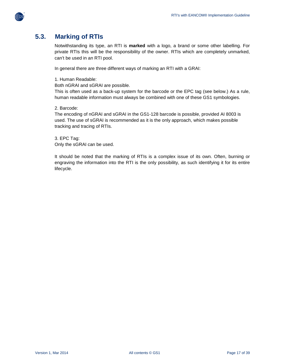

## <span id="page-16-0"></span>**5.3. Marking of RTIs**

Notwithstanding its type, an RTI is **marked** with a logo, a brand or some other labelling. For private RTIs this will be the responsibility of the owner. RTIs which are completely unmarked, can't be used in an RTI pool.

In general there are three different ways of marking an RTI with a GRAI:

1. Human Readable:

Both nGRAI and sGRAI are possible.

This is often used as a back-up system for the barcode or the EPC tag (see below.) As a rule, human readable information must always be combined with one of these GS1 symbologies.

#### 2. Barcode:

The encoding of nGRAI and sGRAI in the GS1-128 barcode is possible, provided AI 8003 is used. The use of sGRAI is recommended as it is the only approach, which makes possible tracking and tracing of RTIs.

3. EPC Tag: Only the sGRAI can be used.

It should be noted that the marking of RTIs is a complex issue of its own. Often, burning or engraving the information into the RTI is the only possibility, as such identifying it for its entire lifecycle.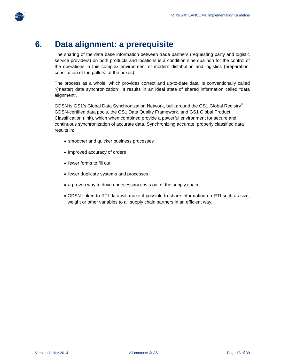

# <span id="page-17-0"></span>**6. Data alignment: a prerequisite**

The sharing of the data base information between trade partners (requesting party and logistic service providers) on both products and locations is a condition sine qua non for the control of the operations in this complex environment of modern distribution and logistics (preparation; constitution of the pallets, of the boxes).

The process as a whole, which provides correct and up-to-date data, is conventionally called "(master) data synchronization". It results in an ideal state of shared information called "data alignment".

GDSN is GS1's Global Data Synchronization Network, built around the GS1 Global Registry®, GDSN-certified data pools, the GS1 Data Quality Framework, and GS1 Global Product Classification (link), which when combined provide a powerful environment for secure and continuous synchronization of accurate data. Synchronizing accurate, properly classified data results in:

- smoother and quicker business processes
- improved accuracy of orders
- fewer forms to fill out
- fewer duplicate systems and processes
- a proven way to drive unnecessary costs out of the supply chain
- GDSN linked to RTI data will make it possible to share information on RTI such as size, weight or other variables to all supply chain partners in an efficient way.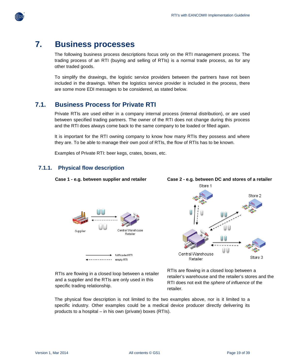

# <span id="page-18-0"></span>**7. Business processes**

The following business process descriptions focus only on the RTI management process. The trading process of an RTI (buying and selling of RTIs) is a normal trade process, as for any other traded goods.

To simplify the drawings, the logistic service providers between the partners have not been included in the drawings. When the logistics service provider is included in the process, there are some more EDI messages to be considered, as stated below.

## <span id="page-18-1"></span>**7.1. Business Process for Private RTI**

Private RTIs are used either in a company internal process (internal distribution), or are used between specified trading partners. The owner of the RTI does not change during this process and the RTI does always come back to the same company to be loaded or filled again.

It is important for the RTI owning company to know how many RTIs they possess and where they are. To be able to manage their own pool of RTIs, the flow of RTIs has to be known.

Examples of Private RTI: beer kegs, crates, boxes, etc.

## <span id="page-18-2"></span>**7.1.1. Physical flow description**





RTIs are flowing in a closed loop between a retailer and a supplier and the RTIs are only used in this specific trading relationship.

empty RTI

RTIs are flowing in a closed loop between a retailer's warehouse and the retailer's stores and the RTI does not exit the *sphere of influence* of the retailer.

The physical flow description is not limited to the two examples above, nor is it limited to a specific industry. Other examples could be a medical device producer directly delivering its products to a hospital – in his own (private) boxes (RTIs).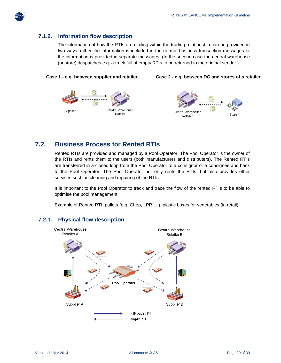

## <span id="page-19-0"></span>**7.1.2. Information flow description**

The information of how the RTIs are circling within the trading relationship can be provided in two ways: either the information is included in the normal business transaction messages or the information is provided in separate messages. (In the second case the central warehouse (or store) despatches e.g. a truck full of empty RTIs to be returned to the original sender.)

**Case 1 - e.g. between supplier and retailer Case 2 - e.g. between DC and stores of a retailer**





## <span id="page-19-1"></span>**7.2. Business Process for Rented RTIs**

Rented RTIs are provided and managed by a Pool Operator. The Pool Operator is the owner of the RTIs and rents them to the users (both manufacturers and distributers). The Rented RTIs are transferred in a closed loop from the Pool Operator to a consignor or a consignee and back to the Pool Operator. The Pool Operator not only rents the RTIs, but also provides other services such as cleaning and repairing of the RTIs.

It is important to the Pool Operator to track and trace the flow of the rented RTIs to be able to optimise the pool management.

Example of Rented RTI: pallets (e.g. Chep, LPR, ...), plastic boxes for vegetables (in retail)

## <span id="page-19-2"></span>**7.2.1. Physical flow description**

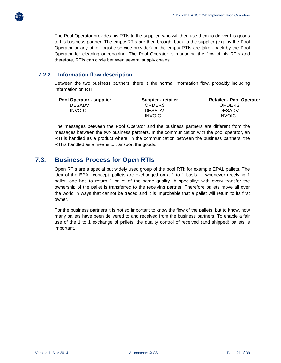

The Pool Operator provides his RTIs to the supplier, who will then use them to deliver his goods to his business partner. The empty RTIs are then brought back to the supplier (e.g. by the Pool Operator or any other logistic service provider) or the empty RTIs are taken back by the Pool Operator for cleaning or repairing. The Pool Operator is managing the flow of his RTIs and therefore, RTIs can circle between several supply chains.

## <span id="page-20-0"></span>**7.2.2. Information flow description**

Between the two business partners, there is the normal information flow, probably including information on RTI.

| Pool Operator - supplier | Suppier - retailer | <b>Retailer - Pool Operator</b> |
|--------------------------|--------------------|---------------------------------|
| <b>DESADV</b>            | ORDERS             | ORDERS                          |
| <b>INVOIC</b>            | <b>DESADV</b>      | <b>DESADV</b>                   |
|                          | <b>INVOIC</b>      | <b>INVOIC</b>                   |
|                          |                    | .                               |

The messages between the Pool Operator and the business partners are different from the messages between the two business partners. In the communication with the pool operator, an RTI is handled as a product where, in the communication between the business partners, the RTI is handled as a means to transport the goods.

## <span id="page-20-1"></span>**7.3. Business Process for Open RTIs**

Open RTIs are a special but widely used group of the pool RTI: for example EPAL pallets. The idea of the EPAL concept: pallets are exchanged on a 1 to 1 basis --- whenever receiving 1 pallet, one has to return 1 pallet of the same quality. A speciality: with every transfer the ownership of the pallet is transferred to the receiving partner. Therefore pallets move all over the world in ways that cannot be traced and it is improbable that a pallet will return to its first owner.

For the business partners it is not so important to know the flow of the pallets, but to know, how many pallets have been delivered to and received from the business partners. To enable a fair use of the 1 to 1 exchange of pallets, the quality control of received (and shipped) pallets is important.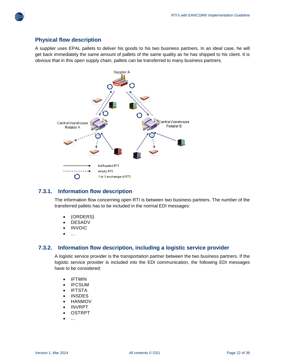

## <span id="page-21-0"></span>**Physical flow description**

A supplier uses EPAL pallets to deliver his goods to his two business partners. In an ideal case, he will get back immediately the same amount of pallets of the same quality as he has shipped to his client. It is obvious that in this open supply chain, pallets can be transferred to many business partners.



## <span id="page-21-1"></span>**7.3.1. Information flow description**

The information flow concerning open RTI is between two business partners. The number of the transferred pallets has to be included in the normal EDI messages:

- (ORDERS)
- DESADV
- INVOIC
- ...

#### <span id="page-21-2"></span>**7.3.2. Information flow description, including a logistic service provider**

A logistic service provider is the transportation partner between the two business partners. If the logistic service provider is included into the EDI communication, the following EDI messages have to be considered:

- IFTMIN
- **IFCSUM**
- **IFTSTA**
- INSDES
- HANMOV
- INVRPT
- OSTRPT
- ...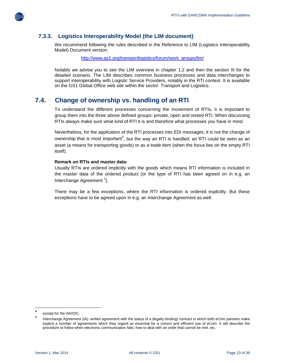

### <span id="page-22-0"></span>**7.3.3. Logistics Interoperability Model (the LIM document)**

We recommend following the rules described in the Reference to LIM (Logistics Interoperability Model) Document version:

[http://www.gs1.org/transportlogistics/forum/work\\_groups/lim/](http://www.gs1.org/transportlogistics/forum/work_groups/lim/)

Notably we advise you to see the LIM overview in chapter 1.2 and then the section III for the detailed scenario. The LIM describes common business processes and data interchanges to support interoperability with Logistic Service Providers, notably in the RTI context. It is available on the GS1 Global Office web site within the sector: Transport and Logistics.

## <span id="page-22-1"></span>**7.4. Change of ownership vs. handling of an RTI**

To understand the different processes concerning the movement of RTIs, it is important to group them into the three above defined groups: private, open and rented RTI. When discussing RTIs always make sure what kind of RTI it is and therefore what processes you have in mind.

Nevertheless, for the application of the RTI processes into EDI messages, it is not the change of ownership that is most important<sup>[4](#page-23-0)</sup>, but the way an RTI is handled: an RTI could be seen as an asset (a means for transporting goods) or as a trade item (when the focus lies on the empty RTI itself).

#### **Remark on RTIs and master data:**

Usually RTIs are ordered implicitly with the goods which means RTI information is included in the master data of the ordered product (or the type of RTI has been agreed on in e.g. an Interchange Agreement<sup>[5](#page-23-1)</sup>).

There may be a few exceptions, where the RTI information is ordered explicitly. But these exceptions have to be agreed upon in e.g. an Interchange Agreement as well.

**<sup>4</sup>** except for the INVOIC.

**<sup>5</sup>** Interchange Agreement (IA): written agreement with the status of a (legally binding) contract in which both eCom partners make explicit a number of agreements which they regard as essential for a correct and efficient use of eCom. It will describe the procedure to follow when electronic communication fails, how to deal with an order that cannot be met, etc.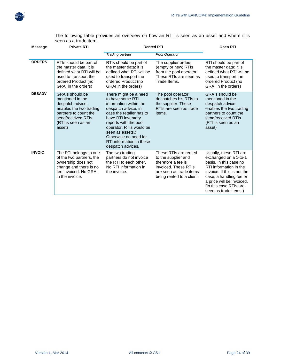



<span id="page-23-1"></span><span id="page-23-0"></span>

| <b>Message</b> | <b>Private RTI</b>                                                                                                                                                       | <b>Rented RTI</b>                                                                                                                                                                                                                                                                              |                                                                                                                                                    | Open RTI                                                                                                                                                                                                                                      |
|----------------|--------------------------------------------------------------------------------------------------------------------------------------------------------------------------|------------------------------------------------------------------------------------------------------------------------------------------------------------------------------------------------------------------------------------------------------------------------------------------------|----------------------------------------------------------------------------------------------------------------------------------------------------|-----------------------------------------------------------------------------------------------------------------------------------------------------------------------------------------------------------------------------------------------|
|                |                                                                                                                                                                          | Trading partner                                                                                                                                                                                                                                                                                | Pool Operator                                                                                                                                      |                                                                                                                                                                                                                                               |
| <b>ORDERS</b>  | RTIs should be part of<br>the master data: it is<br>defined what RTI will be<br>used to transport the<br>ordered Product (no<br>GRAI in the orders)                      | RTIs should be part of<br>the master data: it is<br>defined what RTI will be<br>used to transport the<br>ordered Product (no<br>GRAI in the orders)                                                                                                                                            | The supplier orders<br>(empty or new) RTIs<br>from the pool operator.<br>These RTIs are seen as<br>Trade Items.                                    | RTI should be part of<br>the master data: it is<br>defined what RTI will be<br>used to transport the<br>ordered Product (no<br>GRAI in the orders)                                                                                            |
| <b>DESADV</b>  | <b>GRAIs should be</b><br>mentioned in the<br>despatch advice:<br>enables the two trading<br>partners to count the<br>send/received RTIs<br>(RTI is seen as an<br>asset) | There might be a need<br>to have some RTI<br>information within the<br>despatch advice: in<br>case the retailer has to<br>have RTI inventory<br>reports with the pool<br>operator. RTIs would be<br>seen as assets.)<br>Otherwise no need for<br>RTI information in these<br>despatch advices. | The pool operator<br>despatches his RTIs to<br>the supplier. These<br>RTIs are seen as trade<br>items.                                             | <b>GRAIs should be</b><br>mentioned in the<br>despatch advice:<br>enables the two trading<br>partners to count the<br>send/received RTIs<br>(RTI is seen as an<br>asset)                                                                      |
| <b>INVOIC</b>  | The RTI belongs to one<br>of the two partners, the<br>ownership does not<br>change and there is no<br>fee invoiced. No GRAI<br>in the invoice.                           | The two trading<br>partners do not invoice<br>the RTI to each other.<br>No RTI information in<br>the invoice.                                                                                                                                                                                  | These RTIs are rented<br>to the supplier and<br>therefore a fee is<br>invoiced. These RTIs<br>are seen as trade items<br>being rented to a client. | Usually, these RTI are<br>exchanged on a 1-to-1<br>basis. In this case no<br>RTI information in the<br>invoice. If this is not the<br>case, a handling fee or<br>a price will be invoiced.<br>(in this case RTIs are<br>seen as trade items.) |

The following table provides an overview on how an RTI is seen as an asset and where it is seen as a trade item.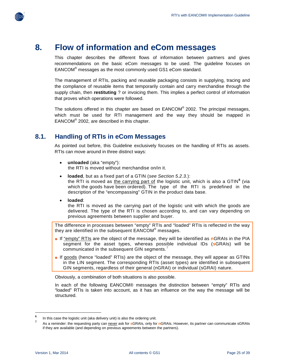

# <span id="page-24-0"></span>**8. Flow of information and eCom messages**

This chapter describes the different flows of information between partners and gives recommendations on the basic eCom messages to be used. The guideline focuses on EANCOM® messages as the most commonly used GS1 eCom standard.

The management of RTIs, packing and reusable packaging consists in supplying, tracing and the compliance of reusable items that temporarily contain and carry merchandise through the supply chain, then **restituting** ? or invoicing them. This implies a perfect control of information that proves which operations were followed.

The solutions offered in this chapter are based on EANCOM<sup>®</sup> 2002. The principal messages, which must be used for RTI management and the way they should be mapped in EANCOM® 2002, are described in this chapter.

## <span id="page-24-1"></span>**8.1. Handling of RTIs in eCom Messages**

As pointed out before, this Guideline exclusively focuses on the handling of RTIs as assets. RTIs can move around in three distinct ways:

- **unloaded** (aka "empty"): the RTI is moved without merchandise on/in it.
- **loaded**, but as a fixed part of a GTIN (*see Section 5.2.3.*): the RTI is moved as the carrying part of the logistic unit, which is also a GTIN**[6](#page-25-2)** (via which the goods have been ordered). The type of the RTI is predefined in the description of the "encompassing" GTIN in the product data base.
- **loaded**:

the RTI is moved as the carrying part of the logistic unit with which the goods are delivered. The type of the RTI is chosen according to, and can vary depending on previous agreements between supplier and buyer.

The difference in processes between "empty" RTIs and "loaded" RTIs is reflected in the way they are identified in the subsequent EANCOM<sup>®</sup> messages.

- If "empty" RTIs are the object of the message, they will be identified as **n**GRAIs in the PIA segment for the asset types, whereas possible individual IDs (**s**GRAIs) will be communicated in the subsequent GIN segments.<sup>[7](#page-25-3)</sup>
- If goods (hence "loaded" RTIs) are the object of the message, they will appear as GTINs in the LIN segment. The corresponding RTIs (asset types) are identified in subsequent GIN segments, regardless of their general (nGRAI) or individual (sGRAI) nature.

Obviously, a combination of both situations is also possible.

In each of the following EANCOM® messages the distinction between "empty" RTIs and "loaded" RTIs is taken into account, as it has an influence on the way the message will be structured.

**<sup>6</sup>** In this case the logistic unit (aka delivery unit) is also the ordering unit.

**<sup>7</sup>** As a reminder: the requesting party can never ask for **s**GRAIs, only for **n**GRAIs. However, its partner can communicate sGRAIs if they are available (and depending on previous agreements between the partners).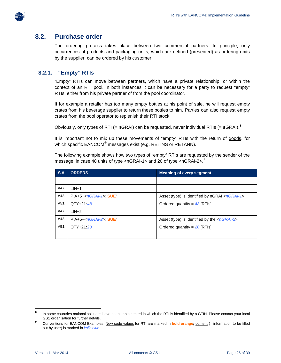

## <span id="page-25-0"></span>**8.2. Purchase order**

The ordering process takes place between two commercial partners. In principle, only occurrences of products and packaging units, which are defined (presented) as ordering units by the supplier, can be ordered by his customer.

## <span id="page-25-1"></span>**8.2.1. "Empty" RTIs**

"Empty" RTIs can move between partners, which have a private relationship, or within the context of an RTI pool. In both instances it can be necessary for a party to request "empty" RTIs, either from his private partner of from the pool coordinator.

If for example a retailer has too many empty bottles at his point of sale, he will request empty crates from his beverage supplier to return these bottles to him. Parties can also request empty crates from the pool operator to replenish their RTI stock.

Obviously, only types of RTI (= **n**GRAI) can be requested, never individual RTIs (= **s**GRAI).[8](#page-26-1)

It is important not to mix up these movements of "empty" RTIs with the return of goods, for which specific EANCOM<sup>®</sup> messages exist (e.g. RETINS or RETANN).

The following example shows how two types of "empty" RTIs are requested by the sender of the message, in case 48 units of type <nGRAI-1> and 20 of type <nGRAI-2>.<sup>[9](#page-26-2)</sup>

| $S+$ | <b>ORDERS</b>                   | <b>Meaning of every segment</b>                            |
|------|---------------------------------|------------------------------------------------------------|
|      | $\cdots$                        |                                                            |
| #47  | $LIN+1'$                        |                                                            |
| #48  | PIA+5+ <ngrai-1>: SUE</ngrai-1> | Asset (type) is identified by nGRAI <ngrai-1></ngrai-1>    |
| #51  | OTY+21.48                       | Ordered quantity = $48$ [RTIs]                             |
| #47  | $LIN+2'$                        |                                                            |
| #48  | $PIA+5+0GRA-2>$ : SUE           | Asset (type) is identified by the $\langle nGRAI-2\rangle$ |
| #51  | OTY+21.20                       | Ordered quantity = $20$ [RTIs]                             |
|      | $\cdots$                        |                                                            |

<span id="page-25-2"></span>**<sup>8</sup>** In some countries national solutions have been implemented in which the RTI is identified by a GTIN. Please contact your local GS1 organisation for further details.

<span id="page-25-3"></span>**<sup>9</sup>** Conventions for EANCOM Examples: New code values for RTI are marked in **bold orange;** content (= information to be filled out by user) is marked in *italic blue*.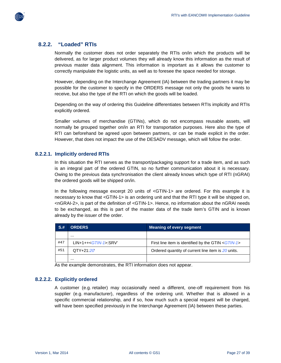

#### <span id="page-26-0"></span>**8.2.2. "Loaded" RTIs**

Normally the customer does not order separately the RTIs on/in which the products will be delivered, as for larger product volumes they will already know this information as the result of previous master data alignment. This information is important as it allows the customer to correctly manipulate the logistic units, as well as to foresee the space needed for storage.

However, depending on the Interchange Agreement (IA) between the trading partners it may be possible for the customer to specify in the ORDERS message not only the goods he wants to receive, but also the type of the RTI on which the goods will be loaded.

Depending on the way of ordering this Guideline differentiates between RTIs implicitly and RTIs explicitly ordered.

Smaller volumes of merchandise (GTINs), which do not encompass reusable assets, will normally be grouped together on/in an RTI for transportation purposes. Here also the type of RTI can beforehand be agreed upon between partners, or can be made explicit in the order. However, that does not impact the use of the DESADV message, which will follow the order.

#### **8.2.2.1. Implicitly ordered RTIs**

In this situation the RTI serves as the transport/packaging support for a trade item, and as such is an integral part of the ordered GTIN, so no further communication about it is necessary. Owing to the previous data synchronisation the client already knows which type of RTI (nGRAI) the ordered goods will be shipped on/in.

In the following message excerpt 20 units of <GTIN-1> are ordered. For this example it is necessary to know that <GTIN-1> is an ordering unit and that the RTI type it will be shipped on, <nGRAI-2>, is part of the definition of <GTIN-1>. Hence, no information about the nGRAI needs to be exchanged, as this is part of the master data of the trade item's GTIN and is known already by the issuer of the order.

| $S+$ | <b>ORDERS</b>                 | <b>Meaning of every segment</b>                          |
|------|-------------------------------|----------------------------------------------------------|
|      | $\cdots$                      |                                                          |
| #47  | LIN+1++< <i>GTIN-1</i> >:SRV' | First line item is identified by the GTIN $\leq$ GTIN-1> |
| #51  | OTY+21:20                     | Ordered quantity of current line item is 20 units.       |
|      | $\cdots$                      |                                                          |

As the example demonstrates, the RTI information does not appear.

#### <span id="page-26-2"></span><span id="page-26-1"></span>**8.2.2.2. Explicitly ordered**

A customer (e.g. retailer) may occasionally need a different, one-off requirement from his supplier (e.g. manufacturer), regardless of the ordering unit. Whether that is allowed in a specific commercial relationship, and if so, how much such a special request will be charged, will have been specified previously in the Interchange Agreement (IA) between these parties.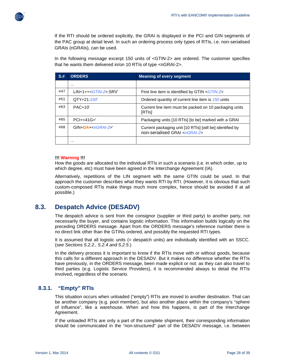

If the RTI should be ordered explicitly, the GRAI is displayed in the PCI and GIN segments of the PAC group at detail level. In such an ordering process only types of RTIs, i.e. non-serialised GRAIs (nGRAIs), can be used.

In the following message excerpt 150 units of <GTIN-2> are ordered. The customer specifies that he wants them delivered in/on 10 RTIs of type <nGRAI-2>.

| $S+$ | <b>ORDERS</b>          | <b>Meaning of every segment</b>                                                                     |
|------|------------------------|-----------------------------------------------------------------------------------------------------|
|      | $\cdots$               |                                                                                                     |
| #47  | $LIN+1++GTIN-2>$ :SRV' | First line item is identified by GTIN $\leq$ GTIN-2>                                                |
| #51  | QTY+21:150             | Ordered quantity of current line item is 150 units                                                  |
| #63  | <b>PAC+10</b>          | Current line item must be packed on 10 packaging units<br>[RTIs]                                    |
| #65  | $PCI + < 41G$          | Packaging units [10 RTIs] [to be] marked with a GRAI                                                |
| #68  | $GIN+DA+1GRA-2>$       | Current packaging unit [10 RTIs] [will be] identified by<br>non-serialised GRAI <ngrai-2></ngrai-2> |
|      | $\cdots$               |                                                                                                     |

#### **!!! Warning !!!**

How the goods are allocated to the individual RTIs in such a scenario (i.e. in which order, up to which degree, etc) must have been agreed in the Interchange Agreement (IA).

Alternatively, repetitions of the LIN segment with the same GTIN could be used. In that approach the customer describes what they wants RTI by RTI. (However, it is obvious that such custom-composed RTIs make things much more complex, hence should be avoided if at all possible.)

## <span id="page-27-0"></span>**8.3. Despatch Advice (DESADV)**

The despatch advice is sent from the consignor (supplier or third party) to another party, not necessarily the buyer, and contains logistic information. This information builds logically on the preceding ORDERS message. Apart from the ORDERS message's reference number there is no direct link other than the GTINs ordered, and possibly the requested RTI types.

It is assumed that all logistic units (= despatch units) are individually identified with an SSCC. (*see Sections 5.2.2., 5.2.4 and 5.2.5.*)

In the delivery process it is important to know if the RTIs move with or without goods, because this calls for a different approach in the DESADV. But it makes no difference whether the RTIs have previously, in the ORDERS message, been made explicit or not: as they can also travel to third parties (e.g. Logistic Service Providers), it is recommended always to detail the RTIs involved, regardless of the scenario.

#### <span id="page-27-1"></span>**8.3.1. "Empty" RTIs**

This situation occurs when unloaded ("empty") RTIs are moved to another destination. That can be another company (e.g. pool member), but also another place within the company's "sphere of influence", like a warehouse. When and how this happens, is part of the Interchange Agreement.

If the unloaded RTIs are only a part of the complete shipment, their corresponding information should be communicated in the "non-structured" part of the DESADV message, i.e. between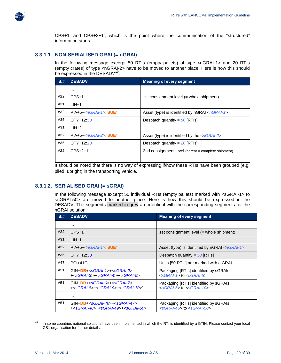

CPS+1' and CPS+2+1', which is the point where the communication of the "structured" information starts.

#### **8.3.1.1. NON-SERIALISED GRAI (= nGRAI)**

In the following message excerpt 50 RTIs (empty pallets) of type <nGRAI-1> and 20 RTIs (empty crates) of type <nGRAI-2> have to be moved to another place. Here is how this should be expressed in the DESADV<sup>10</sup>:

| $S+$ | <b>DESADV</b>         | <b>Meaning of every segment</b>                            |  |
|------|-----------------------|------------------------------------------------------------|--|
|      | $\cdots$              |                                                            |  |
| #22  | $CPS+1'$              | 1st consignment level $($ = whole shipment)                |  |
| #31  | $LIN + 1'$            |                                                            |  |
| #32  | $PIA+5+1GRA-1>$ : SUE | Asset (type) is identified by nGRAI <ngrai-1></ngrai-1>    |  |
| #35  | OTY+12.50             | Despatch quantity = $50$ [RTIs]                            |  |
| #31  | $LIN+2'$              |                                                            |  |
| #32  | $PIA+5+1GRA-2>$ : SUE | Asset (type) is identified by the $\langle nGRAI-2\rangle$ |  |
| #35  | OTY+12.20             | Despatch quantity = $20$ [RTIs]                            |  |
| #22  | $CPS+2+1'$            | 2nd consignment level (parent = complete shipment)         |  |
|      | $\cdots$              |                                                            |  |

It should be noted that there is no way of expressing if/how these RTIs have been grouped (e.g. piled, upright) in the transporting vehicle.

### **8.3.1.2. SERIALISED GRAI (= sGRAI)**

In the following message excerpt 50 individual RTIs (empty pallets) marked with <sGRAI-1> to <sGRAI-50> are moved to another place. Here is how this should be expressed in the DESADV. The segments marked in grey are identical with the corresponding segments for the nGRAI solution!

| $S+$ | <b>DESADV</b>                                                                                                                        | <b>Meaning of every segment</b>                                               |  |  |
|------|--------------------------------------------------------------------------------------------------------------------------------------|-------------------------------------------------------------------------------|--|--|
|      | $\cdots$                                                                                                                             |                                                                               |  |  |
| #22  | $CPS+1'$                                                                                                                             | 1st consignment level (= whole shipment)                                      |  |  |
| #31  | $LIN+1'$                                                                                                                             |                                                                               |  |  |
| #32  | PIA+5+ <ngrai-1>: SUE</ngrai-1>                                                                                                      | Asset (type) is identified by nGRAI <ngrai-1></ngrai-1>                       |  |  |
| #35  | OTY+12.50                                                                                                                            | Despatch quantity = $50$ [RTIs]                                               |  |  |
| #47  | <b>PCI+41G</b>                                                                                                                       | Units [50 RTIs] are marked with a GRAI                                        |  |  |
| #51  | GIN+ <b>DB</b> + <sgrai-1>+<sgrai-2><br/>+<sgrai-3>+<sgrai-4>+<sgrai-5>'</sgrai-5></sgrai-4></sgrai-3></sgrai-2></sgrai-1>           | Packaging [RTIs] identified by sGRAIs<br>$\leq$ SGRAI-1> to $\leq$ SGRAI-5>   |  |  |
| #51  | $GIN+DB++$<br>+ <sgrai-8>+<sgrai-9>+<sgrai-10>'</sgrai-10></sgrai-9></sgrai-8>                                                       | Packaging [RTIs] identified by sGRAIs<br>$\leq$ SGRAI-6> to $\leq$ SGRAI-10>  |  |  |
|      | $\cdots$                                                                                                                             |                                                                               |  |  |
| #51  | GIN+ <b>DB</b> + <sgrai-46>+<sgrai-47><br/>+<sgrai-48>+<sgrai-49>+<sgrai-50>'</sgrai-50></sgrai-49></sgrai-48></sgrai-47></sgrai-46> | Packaging [RTIs] identified by sGRAIs<br>$\leq$ SGRAI-46> to $\leq$ SGRAI-50> |  |  |

**<sup>10</sup>** In some countries national solutions have been implemented in which the RTI is identified by a GTIN. Please contact your local GS1 organisation for further details.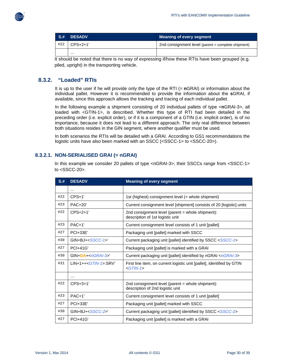

|     | <b>S.# DESADV</b> |            | <b>Meaning of every segment</b>                    |  |
|-----|-------------------|------------|----------------------------------------------------|--|
| #22 |                   | $CPS+2+1'$ | 2nd consignment level (parent = complete shipment) |  |
|     |                   |            |                                                    |  |

It should be noted that there is no way of expressing if/how these RTIs have been grouped (e.g. piled, upright) in the transporting vehicle.

#### <span id="page-29-0"></span>**8.3.2. "Loaded" RTIs**

It is up to the user if he will provide only the type of the RTI (= **n**GRAI) or information about the individual pallet. However it is recommended to provide the information about the **s**GRAI, if available, since this approach allows the tracking and tracing of each individual pallet.

In the following example a shipment consisting of 20 individual pallets of type <**n**GRAI-3>, all loaded with <GTIN-1>, is described. Whether this type of RTI had been detailed in the preceding order (i.e. explicit order), or if it is a component of a GTIN (i.e. implicit order), is of no importance, because it does not lead to a different approach. The only real difference between both situations resides in the GIN segment, where another qualifier must be used.

In both scenarios the RTIs will be detailed with a GRAI. According to GS1 recommendations the logistic units have also been marked with an SSCC (<SSCC-1> to <SSCC-20>).

#### **8.3.2.1. NON-SERIALISED GRAI (= nGRAI)**

In this example we consider 20 pallets of type <nGRAI-3>; their SSCCs range from <SSCC-1> to <SSCC-20>.

<span id="page-29-1"></span>

| $S+$ | <b>DESADV</b>              | <b>Meaning of every segment</b>                                                          |  |
|------|----------------------------|------------------------------------------------------------------------------------------|--|
|      | $\cdots$                   |                                                                                          |  |
| #22  | $CPS+1'$                   | 1st (highest) consignment level (= whole shipment)                                       |  |
| #23  | <b>PAC+20'</b>             | Current consignment level [shipment] consists of 20 [logistic] units                     |  |
| #22  | $CPS+2+1'$                 | 2nd consignment level (parent $=$ whole shipment):<br>description of 1st logistic unit   |  |
| #23  | $PAC+1'$                   | Current consignment level consists of 1 unit [pallet]                                    |  |
| #27  | <b>PCI+33E</b>             | Packaging unit [pallet] marked with SSCC                                                 |  |
| #30  | $GIN+BJ+ < SSCC-1>$        | Current packaging unit [pallet] identified by SSCC <sscc-1></sscc-1>                     |  |
| #27  | <b>PCI+41G</b>             | Packaging unit [pallet] is marked with a GRAI                                            |  |
| #30  | $GIN+DA+AGRA$ -3>'         | Current packaging unit [pallet] identified by nGRAI <ngrai-3></ngrai-3>                  |  |
| #31  | $LIN+1++GTIN-1>$ :SRV'     | First line item, on current logistic unit [pallet], identified by GTIN<br>$\leq$ GTIN-1> |  |
|      | $\cdots$                   |                                                                                          |  |
| #22  | $CPS+3+1'$                 | 2nd consignment level (parent $=$ whole shipment):<br>description of 2nd logistic unit   |  |
| #23  | $PAC+1'$                   | Current consignment level consists of 1 unit [pallet]                                    |  |
| #27  | <b>PCI+33E</b>             | Packaging unit [pallet] marked with SSCC                                                 |  |
| #30  | GIN+BJ+ <sscc-2>'</sscc-2> | Current packaging unit [pallet] identified by SSCC <sscc-2></sscc-2>                     |  |
| #27  | <b>PCI+41G</b>             | Packaging unit [pallet] is marked with a GRAI                                            |  |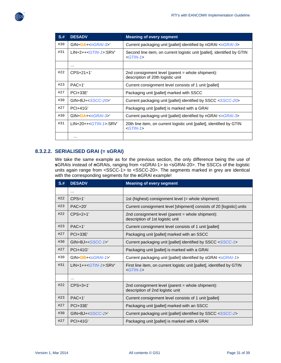

| $S+$ | <b>DESADV</b>                   | <b>Meaning of every segment</b>                                                           |  |
|------|---------------------------------|-------------------------------------------------------------------------------------------|--|
| #30  | $GIN+DA+0GRA-3>$                | Current packaging unit [pallet] identified by nGRAI <ngrai-3></ngrai-3>                   |  |
| #31  | $LIN+2++G$ TIN-1>:SRV'          | Second line item, on current logistic unit [pallet], identified by GTIN<br>$\leq$ GTIN-1> |  |
|      | .                               |                                                                                           |  |
| #22  | $CPS+21+1'$                     | 2nd consignment level (parent $=$ whole shipment):<br>description of 20th logistic unit   |  |
| #23  | $PAC+1'$                        | Current consignment level consists of 1 unit [pallet]                                     |  |
| #27  | $PCI + 33E'$                    | Packaging unit [pallet] marked with SSCC                                                  |  |
| #30  | GIN+BJ+ <sscc-20>'</sscc-20>    | Current packaging unit [pallet] identified by SSCC <sscc-20></sscc-20>                    |  |
| #27  | <b>PCI+41G</b>                  | Packaging unit [pallet] is marked with a GRAI                                             |  |
| #30  | $GIN+DA+1GRA-3>$                | Current packaging unit [pallet] identified by nGRAI <ngrai-3></ngrai-3>                   |  |
| #31  | $LIN+20++G$ <i>TIN-1</i> >:SRV' | 20th line item, on current logistic unit [pallet], identified by GTIN<br>$\leq$ GTIN-1>   |  |
|      | $\cdots$                        |                                                                                           |  |

## **8.3.2.2. SERIALISED GRAI (= sGRAI)**

We take the same example as for the previous section, the only difference being the use of **s**GRAIs instead of **n**GRAIs, ranging from <sGRAI-1> to <sGRAI-20>. The SSCCs of the logistic units again range from <SSCC-1> to <SSCC-20>. The segments marked in grey are identical with the corresponding segments for the **n**GRAI example!

| $S.+$ | <b>DESADV</b>              | <b>Meaning of every segment</b>                                                          |  |
|-------|----------------------------|------------------------------------------------------------------------------------------|--|
|       | $\cdots$                   |                                                                                          |  |
| #22   | $CPS+1'$                   | 1st (highest) consignment level (= whole shipment)                                       |  |
| #23   | <b>PAC+20'</b>             | Current consignment level [shipment] consists of 20 [logistic] units                     |  |
| #22   | $CPS+2+1'$                 | 2nd consignment level (parent = whole shipment):<br>description of 1st logistic unit     |  |
| #23   | $PAC+1'$                   | Current consignment level consists of 1 unit [pallet]                                    |  |
| #27   | <b>PCI+33E'</b>            | Packaging unit [pallet] marked with an SSCC                                              |  |
| #30   | $GIN+BJ+ < SSCC-1>$        | Current packaging unit [pallet] identified by SSCC <sscc-1></sscc-1>                     |  |
| #27   | <b>PCI+41G</b>             | Packaging unit [pallet] is marked with a GRAI                                            |  |
| #30   | $GIN+DB+SSGRAI-1>$         | Current packaging unit [pallet] identified by sGRAI <sgrai-1></sgrai-1>                  |  |
| #31   | $LIN+1++GTIN-1>$ :SRV'     | First line item, on current logistic unit [pallet], identified by GTIN<br>$\leq$ GTIN-1> |  |
|       | $\cdots$                   |                                                                                          |  |
| #22   | $CPS+3+1'$                 | 2nd consignment level (parent = whole shipment):<br>description of 2nd logistic unit     |  |
| #23   | $PAC+1'$                   | Current consignment level consists of 1 unit [pallet]                                    |  |
| #27   | <b>PCI+33E</b>             | Packaging unit [pallet] marked with an SSCC                                              |  |
| #30   | GIN+BJ+ <sscc-2>'</sscc-2> | Current packaging unit [pallet] identified by SSCC <sscc-2></sscc-2>                     |  |
| #27   | <b>PCI+41G</b>             | Packaging unit [pallet] is marked with a GRAI                                            |  |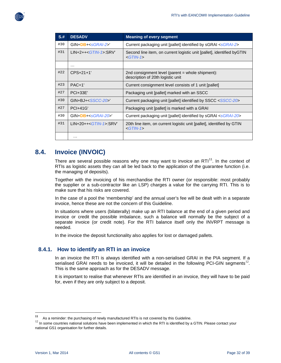

| $S+$ | <b>DESADV</b>                                | <b>Meaning of every segment</b>                                                          |  |
|------|----------------------------------------------|------------------------------------------------------------------------------------------|--|
| #30  | $GIN+DB+$                                    | Current packaging unit [pallet] identified by sGRAI <sgrai-2></sgrai-2>                  |  |
| #31  | $LIN+2++\left\{\frac{3}{10}\right\}-1. SRV'$ | Second line item, on current logistic unit [pallet], identified byGTIN<br>$\leq$ GTIN-1> |  |
|      | $\cdots$                                     |                                                                                          |  |
| #22  | $CPS+21+1'$                                  | 2nd consignment level (parent = whole shipment):<br>description of 20th logistic unit    |  |
| #23  | $PAC+1'$                                     | Current consignment level consists of 1 unit [pallet]                                    |  |
| #27  | $PCI + 33E'$                                 | Packaging unit [pallet] marked with an SSCC                                              |  |
| #30  | GIN+BJ+ <sscc-20>'</sscc-20>                 | Current packaging unit [pallet] identified by SSCC <sscc-20></sscc-20>                   |  |
| #27  | <b>PCI+41G</b>                               | Packaging unit [pallet] is marked with a GRAI                                            |  |
| #30  | $GIN + DB + $                                | Current packaging unit [pallet] identified by sGRAI <sgrai-20></sgrai-20>                |  |
| #31  | $LIN+20++G$ <i>TIN-1</i> >:SRV'              | 20th line item, on current logistic unit [pallet], identified by GTIN<br>$\leq$ GTIN-1>  |  |
|      | $\cdots$                                     |                                                                                          |  |

## <span id="page-31-0"></span>**8.4. Invoice (INVOIC)**

There are several possible reasons why one may want to invoice an  $RT1^{11}$ . In the context of RTIs as logistic assets they can all be led back to the application of the guarantee function (i.e. the managing of deposits).

Together with the invoicing of his merchandise the RTI owner (or responsible: most probably the supplier or a sub-contractor like an LSP) charges a value for the carrying RTI. This is to make sure that his risks are covered.

In the case of a pool the 'membership' and the annual user's fee will be dealt with in a separate invoice, hence these are not the concern of this Guideline.

In situations where users (bilaterally) make up an RTI balance at the end of a given period and invoice or credit the possible imbalance, such a balance will normally be the subject of a separate invoice (or credit note). For the RTI balance itself only the INVRPT message is needed.

<span id="page-31-1"></span>In the invoice the deposit functionality also applies for lost or damaged pallets.

## **8.4.1. How to identify an RTI in an invoice**

In an invoice the RTI is always identified with a non-serialised GRAI in the PIA segment. If a serialised GRAI needs to be invoiced, it will be detailed in the following PCI-GIN segments<sup>[12](#page-32-2)</sup>. This is the same approach as for the DESADV message.

It is important to realise that whenever RTIs are identified in an invoice, they will have to be paid for, even if they are only subject to a deposit.

<sup>&</sup>lt;sup>11</sup> As a reminder: the purchasing of newly manufactured RTIs is not covered by this Guideline.<br><sup>12</sup> In some countries national solutions have been implemented in which the RTI is identified by a GTIN. Please contact your national GS1 organisation for further details.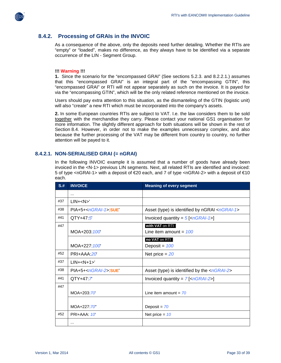

## <span id="page-32-0"></span>**8.4.2. Processing of GRAIs in the INVOIC**

As a consequence of the above, only the deposits need further detailing. Whether the RTIs are "empty" or "loaded", makes no difference, as they always have to be identified via a separate occurrence of the LIN - Segment Group.

#### **!!! Warning !!!**

**1.** Since the scenario for the "encompassed GRAI" (See sections 5.2.3. and 8.2.2.1.) assumes that this "encompassed GRAI" is an integral part of the "encompassing GTIN", this "encompassed GRAI" or RTI will not appear separately as such on the invoice. It is payed for via the "encompassing GTIN", which will be the only related reference mentioned on the invoice.

Users should pay extra attention to this situation, as the dismanteling of the GTIN (logistic unit) will also "create" a new RTI which must be incorporated into the company's assets.

**2.** In some European countries RTIs are subject to VAT. I.e. the law considers them to be sold together with the merchandise they carry. Please contact your national GS1 organisation for more information. The slightly different approach for both situations will be shown in the rest of Section 8.4. However, in order not to make the examples unnecessary complex, and also because the further processing of the VAT may be different from country to country, no further attention will be payed to it.

#### **8.4.2.1. NON-SERIALISED GRAI (= nGRAI)**

In the following INVOIC example it is assumed that a number of goods have already been invoiced in the <N-1> previous LIN segments. Next, all related RTIs are identified and invoiced: 5 of type <nGRAI-1> with a deposit of €20 each, and 7 of type <nGRAI-2> with a deposit of €10 each.

<span id="page-32-2"></span><span id="page-32-1"></span>

| S.H | <b>INVOICE</b>                 | <b>Meaning of every segment</b>                         |  |
|-----|--------------------------------|---------------------------------------------------------|--|
|     | $\cdots$                       |                                                         |  |
| #37 | $LIN+$                         |                                                         |  |
| #38 | PIA+5+ <ngrai-1>:SUE</ngrai-1> | Asset (type) is identified by nGRAI <ngrai-1></ngrai-1> |  |
| #41 | $OTY+47.5$                     | Invoiced quantity = $5$ [< $nGRA-1$ >]                  |  |
| #47 |                                | with VAT on RTI:                                        |  |
|     | MOA+203:100                    | Line item amount $=$ 100                                |  |
|     |                                | no VAT on RTI:                                          |  |
|     | MOA+227:100                    | Deposit = $100$                                         |  |
| #52 | PRI+AAA:20                     | Net price $= 20$                                        |  |
| #37 | $LIN+1+1>$                     |                                                         |  |
| #38 | PIA+5+ <ngrai-2> SUE</ngrai-2> | Asset (type) is identified by the <ngrai-2></ngrai-2>   |  |
| #41 | OTY+47.7                       | Invoiced quantity = $7$ [< $nGRAI-2$ >]                 |  |
| #47 |                                |                                                         |  |
|     | MOA+203:70                     | Line item amount = $70$                                 |  |
|     |                                |                                                         |  |
|     | MOA+227:70                     | Deposit = $70$                                          |  |
| #52 | <b>PRI+AAA: 10</b>             | Net price = $10$                                        |  |
|     | $\cdots$                       |                                                         |  |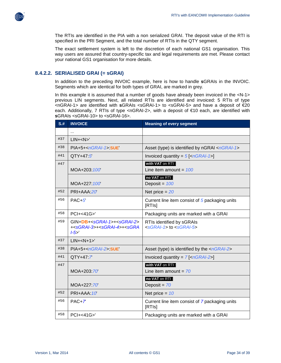

The RTIs are identified in the PIA with a non serialized GRAI. The deposit value of the RTI is specified in the PRI Segment, and the total number of RTIs in the QTY segment.

The exact settlement system is left to the discretion of each national GS1 organisation. This way users are assured that country-specific tax and legal requirements are met. Please contact your national GS1 organisation for more details.

#### **8.4.2.2. SERIALISED GRAI (= sGRAI)**

In addition to the preceding INVOIC example, here is how to handle **s**GRAIs in the INVOIC. Segments which are identical for both types of GRAI, are marked in grey.

In this example it is assumed that a number of goods have already been invoiced in the <N-1> previous LIN segments. Next, all related RTIs are identified and invoiced: 5 RTIs of type <nGRAI-1> are identified with **s**GRAIs <sGRAI-1> to <sGRAI-5> and have a deposit of €20 each. Additionally, 7 RTIs of type <nGRAI-2>, with a deposit of €10 each, are identified with **s**GRAIs <sGRAI-10> to <sGRAI-16>.

| $S+$ | <b>INVOICE</b>                                                                              | <b>Meaning of every segment</b>                                 |  |
|------|---------------------------------------------------------------------------------------------|-----------------------------------------------------------------|--|
|      | $\cdots$                                                                                    |                                                                 |  |
| #37  | $LIN+$                                                                                      |                                                                 |  |
| #38  | PIA+5+ <ngrai-1>:SUE</ngrai-1>                                                              | Asset (type) is identified by nGRAI <ngrai-1></ngrai-1>         |  |
| #41  | QTY+47:5                                                                                    | Invoiced quantity = $5$ [< $nGRA-1$ >]                          |  |
| #47  | MOA+203:100                                                                                 | with VAT on RTI:<br>Line item amount = $100$                    |  |
|      | MOA+227:100                                                                                 | no VAT on RTI :<br>Deposit = $100$                              |  |
| #52  | PRI+AAA.20                                                                                  | Net price $= 20$                                                |  |
| #56  | $PAC + 5$                                                                                   | Current line item consist of 5 packaging units<br>[RTIs]        |  |
| #58  | PCI+<41G>'                                                                                  | Packaging units are marked with a GRAI                          |  |
| #59  | $GIN+DB++$<br>+ <sgrai-3>+<sgrai-4>+<sgra<br><math>1-5</math></sgra<br></sgrai-4></sgrai-3> | RTIs identified by sGRAIs<br>$\leq$ SGRAI-1> to $\leq$ SGRAI-5> |  |
| #37  | $LIN+N+1>$                                                                                  |                                                                 |  |
| #38  | PIA+5+ <ngrai-2> SUE</ngrai-2>                                                              | Asset (type) is identified by the <ngrai-2></ngrai-2>           |  |
| #41  | QTY+47.7                                                                                    | Invoiced quantity = $7$ [< $nGRAI-2$ >]                         |  |
| #47  | MOA+203:70                                                                                  | with VAT on RTI:<br>Line item amount = $70$                     |  |
|      | MOA+227:70                                                                                  | no VAT on RTI:<br>Deposit = $70$                                |  |
| #52  | PRI+AAA: 10                                                                                 | Net price = $10$                                                |  |
| #56  | $PAC+7$                                                                                     | Current line item consist of 7 packaging units<br>[RTIs]        |  |
| #58  | PCI+<41G>'                                                                                  | Packaging units are marked with a GRAI                          |  |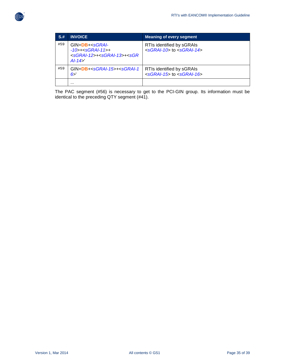

| $S+$ | <b>INVOICE</b>                                                                                                                                                                         | <b>Meaning of every segment</b>                                   |
|------|----------------------------------------------------------------------------------------------------------------------------------------------------------------------------------------|-------------------------------------------------------------------|
| #59  | GIN+DB+ <sgrai-<br><math>-10</math>&gt;+<sgrai-11>+<br/><math>&lt;</math>sGRAI-12&gt;+<math>&lt;</math>sGRAI-13&gt;+<math>&lt;</math>sGR<br/><math>Al-14</math></sgrai-11></sgrai-<br> | RTIs identified by sGRAIs<br>$\leq$ SGRAI-10> to $\leq$ SGRAI-14> |
| #59  | $GIN+DB++6-$                                                                                                                                                                           | RTIs identified by sGRAIs<br>$\leq$ SGRAI-15> to $\leq$ SGRAI-16> |
|      |                                                                                                                                                                                        |                                                                   |

The PAC segment (#56) is necessary to get to the PCI-GIN group. Its information must be identical to the preceding QTY segment (#41).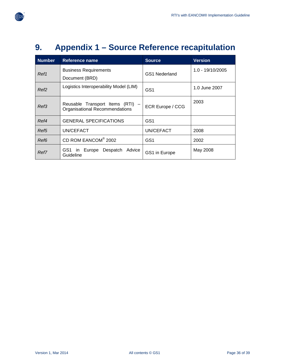

# <span id="page-35-0"></span>**9. Appendix 1 – Source Reference recapitulation**

| <b>Number</b>    | Reference name                                                     | <b>Source</b>    | <b>Version</b>     |
|------------------|--------------------------------------------------------------------|------------------|--------------------|
| Ref1             | <b>Business Requirements</b><br>Document (BRD)                     | GS1 Nederland    | $1.0 - 19/10/2005$ |
| Ref2             | Logistics Interoperability Model (LIM)                             | GS <sub>1</sub>  | 1.0 June 2007      |
| Ref3             | Reusable Transport Items (RTI) –<br>Organisational Recommendations | ECR Europe / CCG | 2003               |
| Ref4             | <b>GENERAL SPECIFICATIONS</b>                                      | GS <sub>1</sub>  |                    |
| Ref5             | UN/CEFACT                                                          | UN/CEFACT        | 2008               |
| Ref <sub>6</sub> | CD ROM EANCOM® 2002                                                | GS <sub>1</sub>  | 2002               |
| Ref7             | Despatch<br>GS1 in Europe<br>Advice<br>Guideline                   | GS1 in Europe    | May 2008           |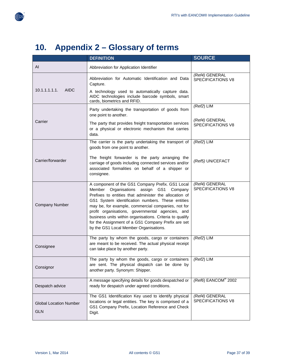

# <span id="page-36-0"></span>**10. Appendix 2 – Glossary of terms**

|                                             | <b>DEFINITION</b>                                                                                                                                                                                                                                                                                                                                                                                                                                                                | <b>SOURCE</b>                              |
|---------------------------------------------|----------------------------------------------------------------------------------------------------------------------------------------------------------------------------------------------------------------------------------------------------------------------------------------------------------------------------------------------------------------------------------------------------------------------------------------------------------------------------------|--------------------------------------------|
| AI                                          | Abbreviation for Application Identifier                                                                                                                                                                                                                                                                                                                                                                                                                                          |                                            |
|                                             | Abbreviation for Automatic Identification and Data<br>Capture.                                                                                                                                                                                                                                                                                                                                                                                                                   | (Ref4) GENERAL<br><b>SPECIFICATIONS V8</b> |
| 10.1.1.1.1.1.<br><b>AIDC</b>                | A technology used to automatically capture data.<br>AIDC technologies include barcode symbols, smart<br>cards, biometrics and RFID.                                                                                                                                                                                                                                                                                                                                              |                                            |
|                                             | Party undertaking the transportation of goods from<br>one point to another.                                                                                                                                                                                                                                                                                                                                                                                                      | $(Ref2)$ LIM                               |
| Carrier                                     | The party that provides freight transportation services<br>or a physical or electronic mechanism that carries<br>data.                                                                                                                                                                                                                                                                                                                                                           | (Ref4) GENERAL<br>SPECIFICATIONS V8        |
|                                             | The carrier is the party undertaking the transport of<br>goods from one point to another.                                                                                                                                                                                                                                                                                                                                                                                        | (Ref2) LIM                                 |
| Carrier/forwarder                           | The freight forwarder is the party arranging the<br>carriage of goods including connected services and/or<br>associated formalities on behalf of a shipper or<br>consignee.                                                                                                                                                                                                                                                                                                      | (Ref5) UN/CEFACT                           |
| <b>Company Number</b>                       | A component of the GS1 Company Prefix. GS1 Local<br>Member Organisations assign GS1 Company<br>Prefixes to entities that administer the allocation of<br>GS1 System identification numbers. These entities<br>may be, for example, commercial companies, not for<br>profit organisations, governmental agencies, and<br>business units within organisations. Criteria to qualify<br>for the Assignment of a GS1 Company Prefix are set<br>by the GS1 Local Member Organisations. | (Ref4) GENERAL<br>SPECIFICATIONS V8        |
| Consignee                                   | The party by whom the goods, cargo or containers<br>are meant to be received. The actual physical receipt<br>can take place by another party.                                                                                                                                                                                                                                                                                                                                    | $(Ref2)$ LIM                               |
| Consignor                                   | The party by whom the goods, cargo or containers<br>are sent. The physical dispatch can be done by<br>another party. Synonym: Shipper.                                                                                                                                                                                                                                                                                                                                           | $(Ref2)$ LIM                               |
| Despatch advice                             | A message specifying details for goods despatched or<br>ready for despatch under agreed conditions.                                                                                                                                                                                                                                                                                                                                                                              | ( $Ref6$ ) EANCOM <sup>®</sup> 2002        |
| <b>Global Location Number</b><br><b>GLN</b> | The GS1 Identification Key used to identify physical<br>locations or legal entities. The key is comprised of a<br>GS1 Company Prefix, Location Reference and Check<br>Digit.                                                                                                                                                                                                                                                                                                     | (Ref4) GENERAL<br><b>SPECIFICATIONS V8</b> |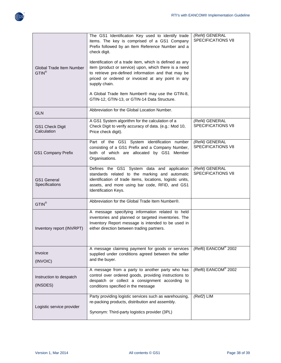

| <b>Global Trade Item Number</b><br>$GTIN^®$ | The GS1 Identification Key used to identify trade<br>items. The key is comprised of a GS1 Company<br>Prefix followed by an Item Reference Number and a<br>check digit.<br>Identification of a trade item, which is defined as any<br>item (product or service) upon, which there is a need<br>to retrieve pre-defined information and that may be<br>priced or ordered or invoiced at any point in any<br>supply chain.<br>A Global Trade Item Number® may use the GTIN-8,<br>GTIN-12, GTIN-13, or GTIN-14 Data Structure. | (Ref4) GENERAL<br>SPECIFICATIONS V8          |
|---------------------------------------------|----------------------------------------------------------------------------------------------------------------------------------------------------------------------------------------------------------------------------------------------------------------------------------------------------------------------------------------------------------------------------------------------------------------------------------------------------------------------------------------------------------------------------|----------------------------------------------|
| <b>GLN</b>                                  | Abbreviation for the Global Location Number.                                                                                                                                                                                                                                                                                                                                                                                                                                                                               |                                              |
| <b>GS1 Check Digit</b><br>Calculation       | A GS1 System algorithm for the calculation of a<br>Check Digit to verify accuracy of data. (e.g.: Mod 10,<br>Price check digit).                                                                                                                                                                                                                                                                                                                                                                                           | (Ref4) GENERAL<br><b>SPECIFICATIONS V8</b>   |
| GS1 Company Prefix                          | Part of the GS1 System identification number<br>consisting of a GS1 Prefix and a Company Number,<br>both of which are allocated by GS1 Member<br>Organisations.                                                                                                                                                                                                                                                                                                                                                            | $(Ref4)$ GENERAL<br><b>SPECIFICATIONS V8</b> |
| <b>GS1 General</b><br>Specifications        | Defines the GS1 System data and application<br>standards related to the marking and automatic<br>identification of trade items, locations, logistic units,<br>assets, and more using bar code, RFID, and GS1<br>Identification Keys.                                                                                                                                                                                                                                                                                       | (Ref4) GENERAL<br>SPECIFICATIONS V8          |
| $GTIN^®$                                    | Abbreviation for the Global Trade Item Number®.                                                                                                                                                                                                                                                                                                                                                                                                                                                                            |                                              |
| Inventory report (INVRPT)                   | A message specifying information related to held<br>inventories and planned or targeted inventories. The<br>Inventory Report message is intended to be used in<br>either direction between trading partners.                                                                                                                                                                                                                                                                                                               |                                              |
| Invoice<br>(INVOIC)                         | A message claiming payment for goods or services<br>supplied under conditions agreed between the seller<br>and the buyer.                                                                                                                                                                                                                                                                                                                                                                                                  | $(Ref6)$ EANCOM® 2002                        |
| Instruction to despatch<br>(INSDES)         | A message from a party to another party who has<br>control over ordered goods, providing instructions to<br>despatch or collect a consignment according to<br>conditions specified in the message                                                                                                                                                                                                                                                                                                                          | (Ref6) EANCOM <sup>®</sup> 2002              |
| Logistic service provider                   | Party providing logistic services such as warehousing,<br>re-packing products, distribution and assembly.<br>Synonym: Third-party logistics provider (3PL)                                                                                                                                                                                                                                                                                                                                                                 | $(Ref2)$ LIM                                 |